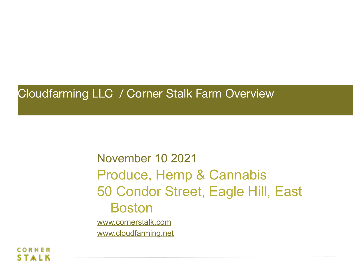#### Cloudfarming LLC / Corner Stalk Farm Overview

November 10 2021 Produce, Hemp & Cannabis 50 Condor Street, Eagle Hill, East Boston [www.cornerstalk.com](http://www.cornerstalk.com)

[www.cloudfarming.net](http://www.cloudfarming.net)

RNFR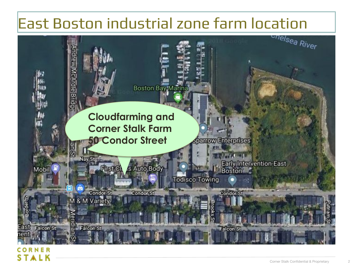# East Boston industrial zone farm location<br>East diverse industrial zone farm location

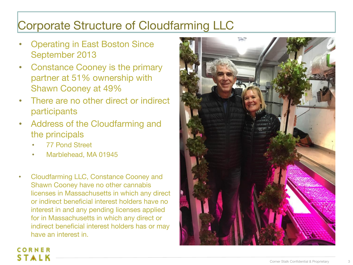#### Corporate Structure of Cloudfarming LLC

- Operating in East Boston Since September 2013
- Constance Cooney is the primary partner at 51% ownership with Shawn Cooney at 49%
- There are no other direct or indirect participants
- Address of the Cloudfarming and the principals
	- 77 Pond Street

CORNER

- Marblehead, MA 01945
- Cloudfarming LLC, Constance Cooney and Shawn Cooney have no other cannabis licenses in Massachusetts in which any direct or indirect beneficial interest holders have no interest in and any pending licenses applied for in Massachusetts in which any direct or indirect beneficial interest holders has or may have an interest in.

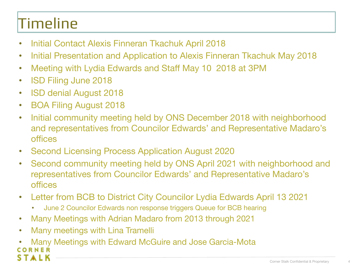# Timeline

- Initial Contact Alexis Finneran Tkachuk April 2018
- Initial Presentation and Application to Alexis Finneran Tkachuk May 2018
- Meeting with Lydia Edwards and Staff May 10 2018 at 3PM
- ISD Filing June 2018
- ISD denial August 2018
- BOA Filing August 2018
- Initial community meeting held by ONS December 2018 with neighborhood and representatives from Councilor Edwards' and Representative Madaro's offices
- Second Licensing Process Application August 2020
- Second community meeting held by ONS April 2021 with neighborhood and representatives from Councilor Edwards' and Representative Madaro's offices
- Letter from BCB to District City Councilor Lydia Edwards April 13 2021
	- June 2 Councilor Edwards non response triggers Queue for BCB hearing
- Many Meetings with Adrian Madaro from 2013 through 2021
- Many meetings with Lina Tramelli
- Many Meetings with Edward McGuire and Jose Garcia-Mota TALK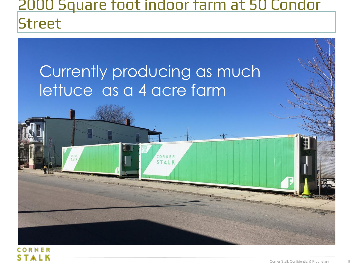#### 2000 Square foot indoor farm at 50 Condor **Street**

 $+$ 

### Currently producing as much lettuce as a 4 acre farm

CORNER **STALK**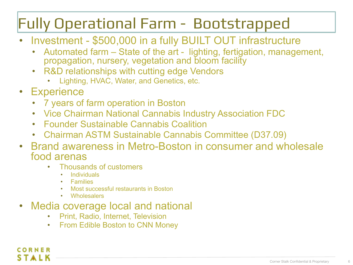#### Fully Operational Farm - Bootstrapped

- Investment \$500,000 in a fully BUILT OUT infrastructure
	- Automated farm State of the art lighting, fertigation, management, propagation, nursery, vegetation and bloom facility
	- R&D relationships with cutting edge Vendors
		- Lighting, HVAC, Water, and Genetics, etc.
- Experience

CORNER

- 7 years of farm operation in Boston
- Vice Chairman National Cannabis Industry Association FDC
- Founder Sustainable Cannabis Coalition
- Chairman ASTM Sustainable Cannabis Committee (D37.09)
- Brand awareness in Metro-Boston in consumer and wholesale food arenas
	- Thousands of customers
		- **Individuals**
		- **Families**
		- Most successful restaurants in Boston
		- Wholesalers
- Media coverage local and national
	- Print, Radio, Internet, Television
	- From Edible Boston to CNN Money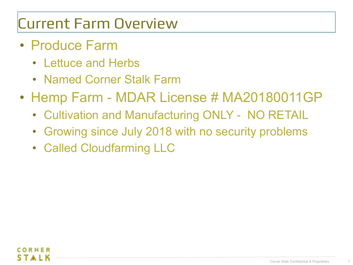#### Current Farm Overview

- Produce Farm
	- Lettuce and Herbs
	- Named Corner Stalk Farm
- Hemp Farm MDAR License # MA20180011GP
	- Cultivation and Manufacturing ONLY NO RETAIL
	- Growing since July 2018 with no security problems
	- Called Cloudfarming LLC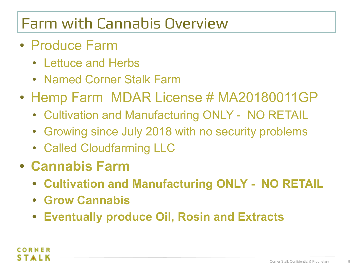#### Farm with Cannabis Overview

- Produce Farm
	- Lettuce and Herbs
	- Named Corner Stalk Farm
- Hemp Farm MDAR License # MA20180011GP
	- Cultivation and Manufacturing ONLY NO RETAIL
	- Growing since July 2018 with no security problems
	- Called Cloudfarming LLC
- **• Cannabis Farm**
	- **• Cultivation and Manufacturing ONLY NO RETAIL**
	- **• Grow Cannabis**
	- **• Eventually produce Oil, Rosin and Extracts**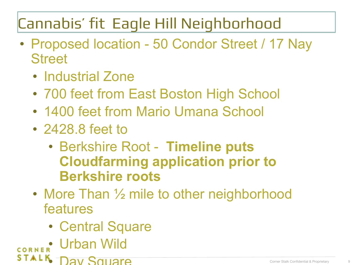## Cannabis' fit Eagle Hill Neighborhood

- Proposed location 50 Condor Street / 17 Nay **Street** 
	- Industrial Zone
	- 700 feet from East Boston High School
	- 1400 feet from Mario Umana School
	- 2428.8 feet to
		- Berkshire Root **Timeline puts Cloudfarming application prior to Berkshire roots**
	- More Than 1/2 mile to other neighborhood features
		- Central Square
- CORNER Urban Wild
- **STALK** DAV SQUAIA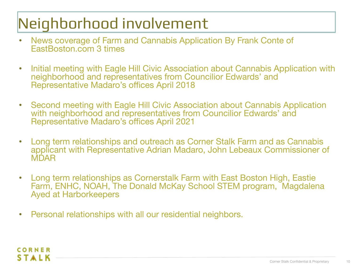# Neighborhood involvement

- News coverage of Farm and Cannabis Application By Frank Conte of EastBoston.com 3 times
- Initial meeting with Eagle Hill Civic Association about Cannabis Application with neighborhood and representatives from Councilior Edwards' and Representative Madaro's offices April 2018
- Second meeting with Eagle Hill Civic Association about Cannabis Application with neighborhood and representatives from Councilior Edwards' and Representative Madaro's offices April 2021
- Long term relationships and outreach as Corner Stalk Farm and as Cannabis applicant with Representative Adrian Madaro, John Lebeaux Commissioner of **MDAR**
- Long term relationships as Cornerstalk Farm with East Boston High, Eastie Farm, ENHC, NOAH, The Donald McKay School STEM program, Magdalena Ayed at Harborkeepers
- Personal relationships with all our residential neighbors.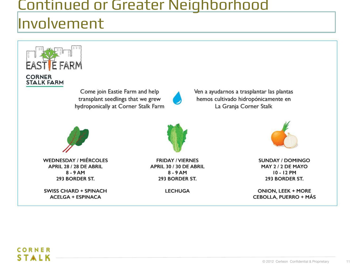# Continued or Greater Neighborhood

#### Involvement



APRIL 28 / 28 DE ABRIL  $8 - 9$  AM 293 BORDER ST.

**SWISS CHARD + SPINACH ACELGA + ESPINACA** 

**FRIDAY / VIERNES** APRIL 30 / 30 DE ABRIL  $8 - 9$  AM 293 BORDER ST.

**LECHUGA** 



Ven a ayudarnos a trasplantar las plantas

hemos cultivado hidropónicamente en

La Granja Corner Stalk

**SUNDAY / DOMINGO** MAY 2/2 DE MAYO 10 - 12 PM 293 BORDER ST.

**ONION, LEEK + MORE CEBOLLA, PUERRO + MÁS** 

#### CORNER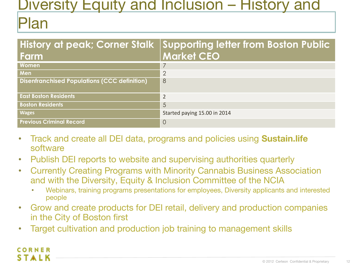#### Diversity Equity and Inclusion – History and

#### Plan

| Farm                                                | History at peak; Corner Stalk Supporting letter from Boston Public<br><b>Market CEO</b> |
|-----------------------------------------------------|-----------------------------------------------------------------------------------------|
| <b>Women</b>                                        | 7                                                                                       |
| Men                                                 | $\overline{2}$                                                                          |
| <b>Disenfranchised Populations (CCC definition)</b> | 8                                                                                       |
| <b>East Boston Residents</b>                        | $\overline{2}$                                                                          |
| <b>Boston Residents</b>                             | 5                                                                                       |
| <b>Wages</b>                                        | Started paying 15.00 in 2014                                                            |
| <b>Previous Criminal Record</b>                     | $\overline{O}$                                                                          |

- Track and create all DEI data, programs and policies using **Sustain.life**  software
- Publish DEI reports to website and supervising authorities quarterly
- Currently Creating Programs with Minority Cannabis Business Association and with the Diversity, Equity & Inclusion Committee of the NCIA
	- Webinars, training programs presentations for employees, Diversity applicants and interested people
- Grow and create products for DEI retail, delivery and production companies in the City of Boston first
- Target cultivation and production job training to management skills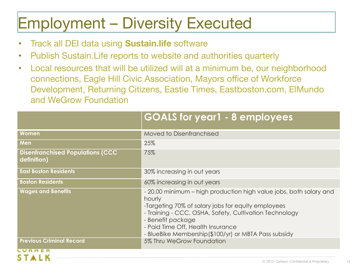## Employment – Diversity Executed

• Track all DEI data using **Sustain.life** software

**SIALN** 

- Publish Sustain.Life reports to website and authorities quarterly
- Local resources that will be utilized will at a minimum be, our neighborhood connections, Eagle Hill Civic Association, Mayors office of Workforce Development, Returning Citizens, Eastie Times, Eastboston.com, ElMundo and WeGrow Foundation

|                                                        | <b>GOALS for year1 - 8 employees</b>                                                                                                                                                                                                                                                                           |
|--------------------------------------------------------|----------------------------------------------------------------------------------------------------------------------------------------------------------------------------------------------------------------------------------------------------------------------------------------------------------------|
| Women                                                  | Moved to Disenfranchised                                                                                                                                                                                                                                                                                       |
| Men                                                    | 25%                                                                                                                                                                                                                                                                                                            |
| <b>Disenfranchised Populations (CCC</b><br>definition) | 75%                                                                                                                                                                                                                                                                                                            |
| <b>East Boston Residents</b>                           | 30% increasing in out years                                                                                                                                                                                                                                                                                    |
| <b>Boston Residents</b>                                | 60% increasing in out years                                                                                                                                                                                                                                                                                    |
| <b>Wages and Benefits</b>                              | - 20.00 minimum – high production high value jobs, both salary and<br>hourly<br>-Targeting 70% of salary jobs for equity employees<br>- Training - CCC, OSHA, Safety, Cultivation Technology<br>- Benefit package<br>- Paid Time Off, Health Insurance<br>- BlueBike Membership(\$100/yr) or MBTA Pass subsidy |
| <b>Previous Criminal Record</b>                        | 5% Thru WeGrow Foundation                                                                                                                                                                                                                                                                                      |
| <b>PPII</b>                                            |                                                                                                                                                                                                                                                                                                                |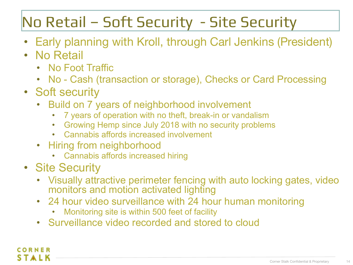#### No Retail – Soft Security - Site Security

- Early planning with Kroll, through Carl Jenkins (President)
- No Retail
	- No Foot Traffic
	- No Cash (transaction or storage), Checks or Card Processing
- Soft security
	- Build on 7 years of neighborhood involvement
		- 7 years of operation with no theft, break-in or vandalism
		- Growing Hemp since July 2018 with no security problems
		- Cannabis affords increased involvement
	- Hiring from neighborhood
		- Cannabis affords increased hiring
- Site Security

CORNER

- Visually attractive perimeter fencing with auto locking gates, video monitors and motion activated lighting
- 24 hour video surveillance with 24 hour human monitoring
	- Monitoring site is within 500 feet of facility
- Surveillance video recorded and stored to cloud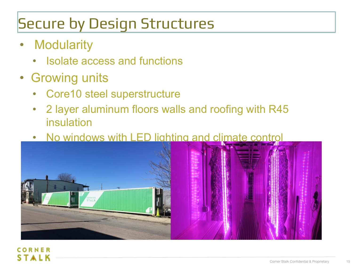## Secure by Design Structures

- Modularity
	- Isolate access and functions
- Growing units
	- Core10 steel superstructure
	- 2 layer aluminum floors walls and roofing with R45 insulation
	- No windows with LED lighting and climate control

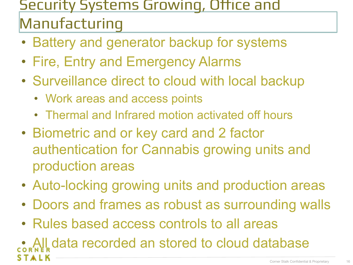#### Security Systems Growing, Office and Manufacturing

- Battery and generator backup for systems
- Fire, Entry and Emergency Alarms
- Surveillance direct to cloud with local backup
	- Work areas and access points
	- Thermal and Infrared motion activated off hours
- Biometric and or key card and 2 factor authentication for Cannabis growing units and production areas
- Auto-locking growing units and production areas
- Doors and frames as robust as surrounding walls
- Rules based access controls to all areas

• All data recorded an stored to cloud database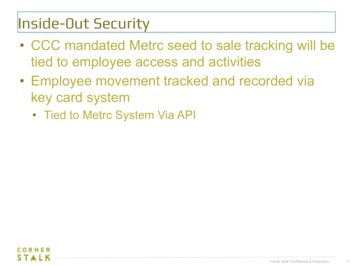#### Inside-0ut Security

- CCC mandated Metrc seed to sale tracking will be tied to employee access and activities
- Employee movement tracked and recorded via key card system
	- Tied to Metrc System Via API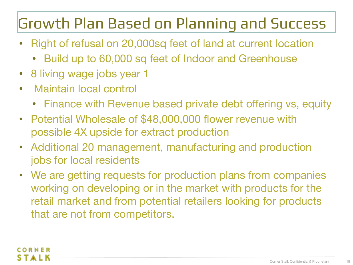#### Growth Plan Based on Planning and Success

- Right of refusal on 20,000sq feet of land at current location
	- Build up to 60,000 sq feet of Indoor and Greenhouse
- 8 living wage jobs year 1
- Maintain local control
	- Finance with Revenue based private debt offering vs, equity
- Potential Wholesale of \$48,000,000 flower revenue with possible 4X upside for extract production
- Additional 20 management, manufacturing and production jobs for local residents
- We are getting requests for production plans from companies working on developing or in the market with products for the retail market and from potential retailers looking for products that are not from competitors.